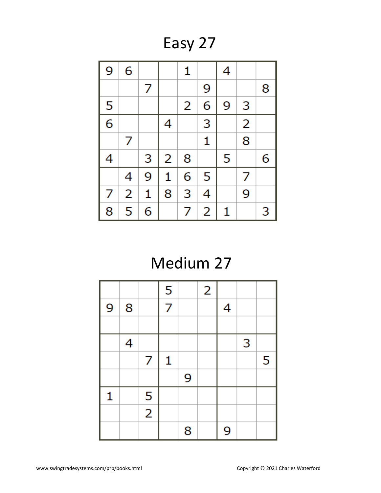Easy 27



## Medium 27

|   |   |                | 5 |   | $\overline{2}$ |   |   |   |
|---|---|----------------|---|---|----------------|---|---|---|
| 9 | 8 |                | 7 |   |                | 4 |   |   |
|   |   |                |   |   |                |   |   |   |
|   | 4 |                |   |   |                |   | 3 |   |
|   |   | 7              | 1 |   |                |   |   | 5 |
|   |   |                |   | 9 |                |   |   |   |
| 1 |   | 5              |   |   |                |   |   |   |
|   |   | $\overline{2}$ |   |   |                |   |   |   |
|   |   |                |   | 8 |                | 9 |   |   |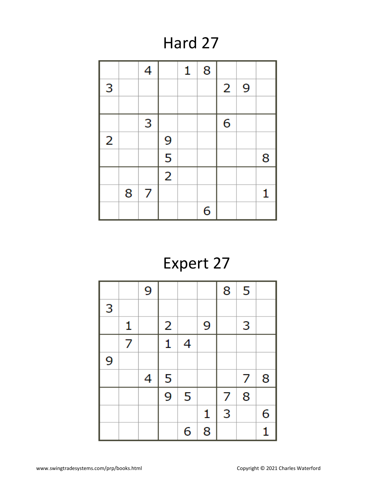#### Hard 27

|                |   | 4 |                | 1 | 8 |                |   |   |
|----------------|---|---|----------------|---|---|----------------|---|---|
| 3              |   |   |                |   |   | $\overline{2}$ | 9 |   |
|                |   |   |                |   |   |                |   |   |
|                |   | 3 |                |   |   | 6              |   |   |
| $\overline{2}$ |   |   | 9              |   |   |                |   |   |
|                |   |   | 5              |   |   |                |   | 8 |
|                |   |   | $\overline{2}$ |   |   |                |   |   |
|                | 8 | 7 |                |   |   |                |   | 1 |
|                |   |   |                |   | 6 |                |   |   |

# Expert 27

|   |              | 9 |                |   |   | 8 | 5 |   |
|---|--------------|---|----------------|---|---|---|---|---|
| 3 |              |   |                |   |   |   |   |   |
|   | $\mathbf{1}$ |   | $\overline{2}$ |   | 9 |   | 3 |   |
|   | 7            |   | 1              | 4 |   |   |   |   |
| 9 |              |   |                |   |   |   |   |   |
|   |              | 4 | 5              |   |   |   | 7 | 8 |
|   |              |   | $\overline{9}$ | 5 |   | 7 | 8 |   |
|   |              |   |                |   | 1 | 3 |   | 6 |
|   |              |   |                | 6 | 8 |   |   | 1 |